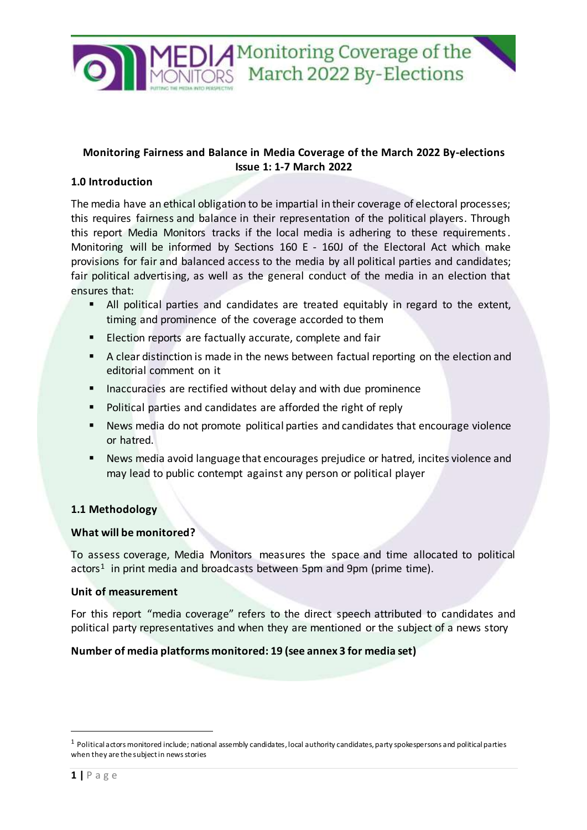

# **Monitoring Fairness and Balance in Media Coverage of the March 2022 By-elections Issue 1: 1-7 March 2022**

## **1.0 Introduction**

The media have an ethical obligation to be impartial in their coverage of electoral processes; this requires fairness and balance in their representation of the political players. Through this report Media Monitors tracks if the local media is adhering to these requirements. Monitoring will be informed by Sections 160 E - 160J of the Electoral Act which make provisions for fair and balanced access to the media by all political parties and candidates; fair political advertising, as well as the general conduct of the media in an election that ensures that:

- All political parties and candidates are treated equitably in regard to the extent, timing and prominence of the coverage accorded to them
- **Election reports are factually accurate, complete and fair**
- A clear distinction is made in the news between factual reporting on the election and editorial comment on it
- **Inaccuracies are rectified without delay and with due prominence**
- **Political parties and candidates are afforded the right of reply**
- News media do not promote political parties and candidates that encourage violence or hatred.
- News media avoid language that encourages prejudice or hatred, incites violence and may lead to public contempt against any person or political player

## **1.1 Methodology**

#### **What will be monitored?**

To assess coverage, Media Monitors measures the space and time allocated to political  $\arctan^1$  in print media and broadcasts between 5pm and 9pm (prime time).

#### **Unit of measurement**

For this report "media coverage" refers to the direct speech attributed to candidates and political party representatives and when they are mentioned or the subject of a news story

#### **Number of media platforms monitored: 19 (see annex 3 for media set)**

 $\overline{a}$ 

 $1$  Political actors monitored include; national assembly candidates, local authority candidates, party spokespersons and political parties when they are the subject in news stories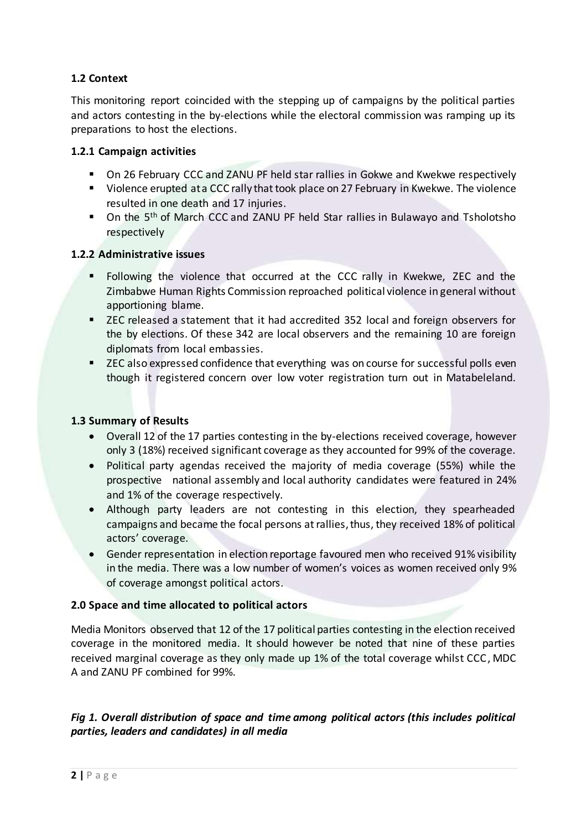# **1.2 Context**

This monitoring report coincided with the stepping up of campaigns by the political parties and actors contesting in the by-elections while the electoral commission was ramping up its preparations to host the elections.

#### **1.2.1 Campaign activities**

- On 26 February CCC and ZANU PF held star rallies in Gokwe and Kwekwe respectively
- **UI** Violence erupted at a CCC rally that took place on 27 February in Kwekwe. The violence resulted in one death and 17 injuries.
- On the 5<sup>th</sup> of March CCC and ZANU PF held Star rallies in Bulawayo and Tsholotsho respectively

#### **1.2.2 Administrative issues**

- Following the violence that occurred at the CCC rally in Kwekwe, ZEC and the Zimbabwe Human Rights Commission reproached political violence in general without apportioning blame.
- ZEC released a statement that it had accredited 352 local and foreign observers for the by elections. Of these 342 are local observers and the remaining 10 are foreign diplomats from local embassies.
- **EXEC** also expressed confidence that everything was on course for successful polls even though it registered concern over low voter registration turn out in Matabeleland.

## **1.3 Summary of Results**

- Overall 12 of the 17 parties contesting in the by-elections received coverage, however only 3 (18%) received significant coverage as they accounted for 99% of the coverage.
- Political party agendas received the majority of media coverage (55%) while the prospective national assembly and local authority candidates were featured in 24% and 1% of the coverage respectively.
- Although party leaders are not contesting in this election, they spearheaded campaigns and became the focal persons at rallies, thus, they received 18% of political actors' coverage.
- Gender representation in election reportage favoured men who received 91% visibility in the media. There was a low number of women's voices as women received only 9% of coverage amongst political actors.

## **2.0 Space and time allocated to political actors**

Media Monitors observed that 12 of the 17 political parties contesting in the election received coverage in the monitored media. It should however be noted that nine of these parties received marginal coverage as they only made up 1% of the total coverage whilst CCC, MDC A and ZANU PF combined for 99%.

# *Fig 1. Overall distribution of space and time among political actors (this includes political parties, leaders and candidates) in all media*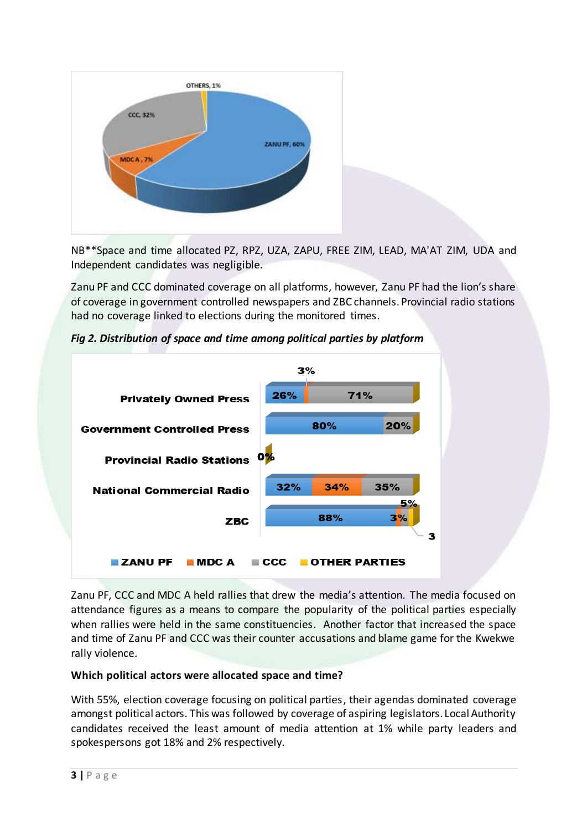

NB\*\*Space and time allocated PZ, RPZ, UZA, ZAPU, FREE ZIM, LEAD, MA'AT ZIM, UDA and Independent candidates was negligible.

Zanu PF and CCC dominated coverage on all platforms, however, Zanu PF had the lion's share of coverage in government controlled newspapers and ZBC channels. Provincial radio stations had no coverage linked to elections during the monitored times.



*Fig 2. Distribution of space and time among political parties by platform*

Zanu PF, CCC and MDC A held rallies that drew the media's attention. The media focused on attendance figures as a means to compare the popularity of the political parties especially when rallies were held in the same constituencies. Another factor that increased the space and time of Zanu PF and CCC was their counter accusations and blame game for the Kwekwe rally violence.

## **Which political actors were allocated space and time?**

With 55%, election coverage focusing on political parties, their agendas dominated coverage amongst political actors. This was followed by coverage of aspiring legislators. Local Authority candidates received the least amount of media attention at 1% while party leaders and spokespersons got 18% and 2% respectively.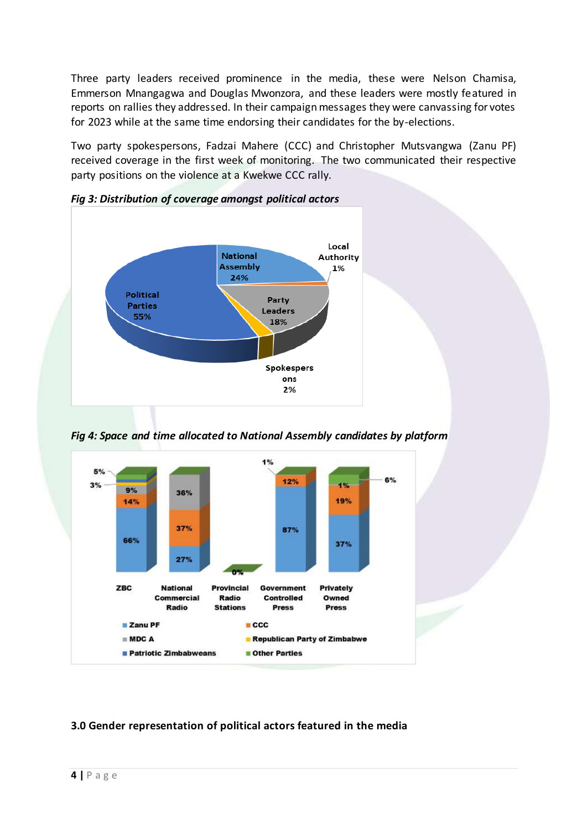Three party leaders received prominence in the media, these were Nelson Chamisa, Emmerson Mnangagwa and Douglas Mwonzora, and these leaders were mostly featured in reports on rallies they addressed. In their campaign messages they were canvassing for votes for 2023 while at the same time endorsing their candidates for the by-elections.

Two party spokespersons, Fadzai Mahere (CCC) and Christopher Mutsvangwa (Zanu PF) received coverage in the first week of monitoring. The two communicated their respective party positions on the violence at a Kwekwe CCC rally.



*Fig 3: Distribution of coverage amongst political actors*

*Fig 4: Space and time allocated to National Assembly candidates by platform*



# **3.0 Gender representation of political actors featured in the media**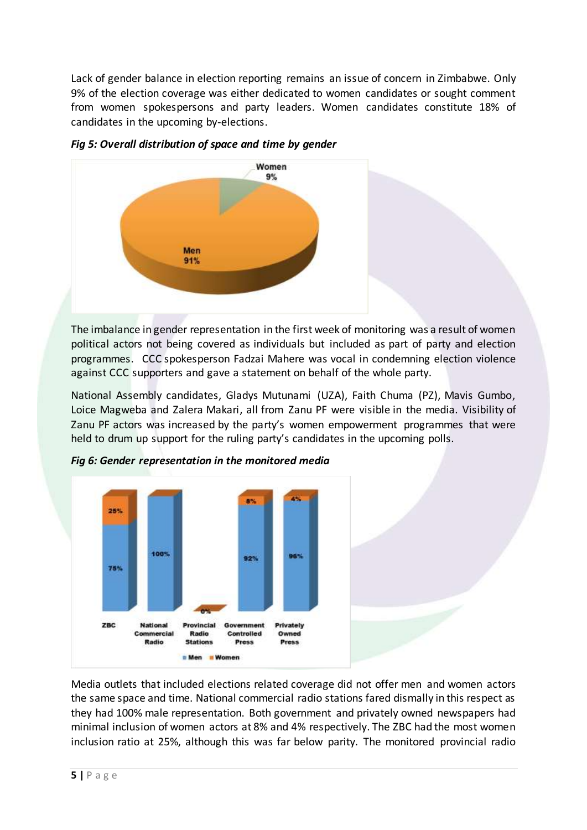Lack of gender balance in election reporting remains an issue of concern in Zimbabwe. Only 9% of the election coverage was either dedicated to women candidates or sought comment from women spokespersons and party leaders. Women candidates constitute 18% of candidates in the upcoming by-elections.



*Fig 5: Overall distribution of space and time by gender* 

The imbalance in gender representation in the first week of monitoring was a result of women political actors not being covered as individuals but included as part of party and election programmes. CCC spokesperson Fadzai Mahere was vocal in condemning election violence against CCC supporters and gave a statement on behalf of the whole party.

National Assembly candidates, Gladys Mutunami (UZA), Faith Chuma (PZ), Mavis Gumbo, Loice Magweba and Zalera Makari, all from Zanu PF were visible in the media. Visibility of Zanu PF actors was increased by the party's women empowerment programmes that were held to drum up support for the ruling party's candidates in the upcoming polls.





Media outlets that included elections related coverage did not offer men and women actors the same space and time. National commercial radio stations fared dismally in this respect as they had 100% male representation. Both government and privately owned newspapers had minimal inclusion of women actors at 8% and 4% respectively. The ZBC had the most women inclusion ratio at 25%, although this was far below parity. The monitored provincial radio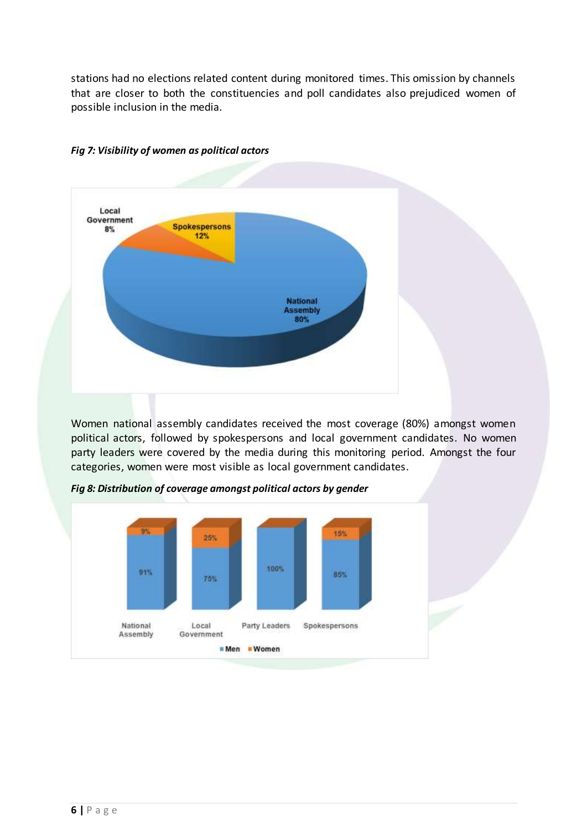stations had no elections related content during monitored times. This omission by channels that are closer to both the constituencies and poll candidates also prejudiced women of possible inclusion in the media.



#### *Fig 7: Visibility of women as political actors*

Women national assembly candidates received the most coverage (80%) amongst women political actors, followed by spokespersons and local government candidates. No women party leaders were covered by the media during this monitoring period. Amongst the four categories, women were most visible as local government candidates.

Spokespersons



Party Leaders

**Men** Women

*Fig 8: Distribution of coverage amongst political actors by gender* 

Local

Government

National

Assembly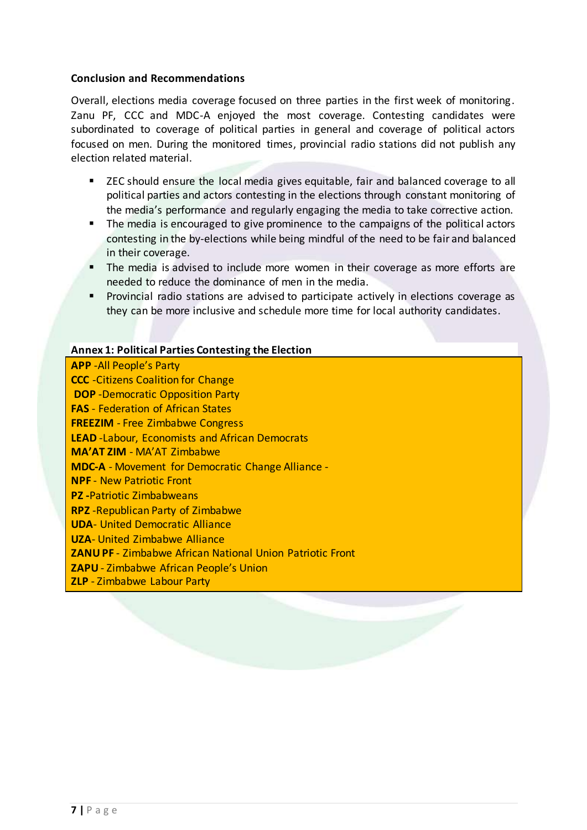#### **Conclusion and Recommendations**

Overall, elections media coverage focused on three parties in the first week of monitoring. Zanu PF, CCC and MDC-A enjoyed the most coverage. Contesting candidates were subordinated to coverage of political parties in general and coverage of political actors focused on men. During the monitored times, provincial radio stations did not publish any election related material.

- ZEC should ensure the local media gives equitable, fair and balanced coverage to all political parties and actors contesting in the elections through constant monitoring of the media's performance and regularly engaging the media to take corrective action.
- The media is encouraged to give prominence to the campaigns of the political actors contesting in the by-elections while being mindful of the need to be fair and balanced in their coverage.
- The media is advised to include more women in their coverage as more efforts are needed to reduce the dominance of men in the media.
- **Provincial radio stations are advised to participate actively in elections coverage as** they can be more inclusive and schedule more time for local authority candidates.

#### **Annex 1: Political Parties Contesting the Election**

**APP** -All People's Party **CCC** -Citizens Coalition for Change **DOP** -Democratic Opposition Party **FAS** - Federation of African States **FREEZIM** - Free Zimbabwe Congress **LEAD** -Labour, Economists and African Democrats **MA'AT ZIM** - MA'AT Zimbabwe **MDC-A** - Movement for Democratic Change Alliance - **NPF** - New Patriotic Front **PZ -**Patriotic Zimbabweans **RPZ** -Republican Party of Zimbabwe **UDA**- United Democratic Alliance **UZA**- United Zimbabwe Alliance **ZANU PF** - Zimbabwe African National Union Patriotic Front **ZAPU** - Zimbabwe African People's Union **ZLP** - Zimbabwe Labour Party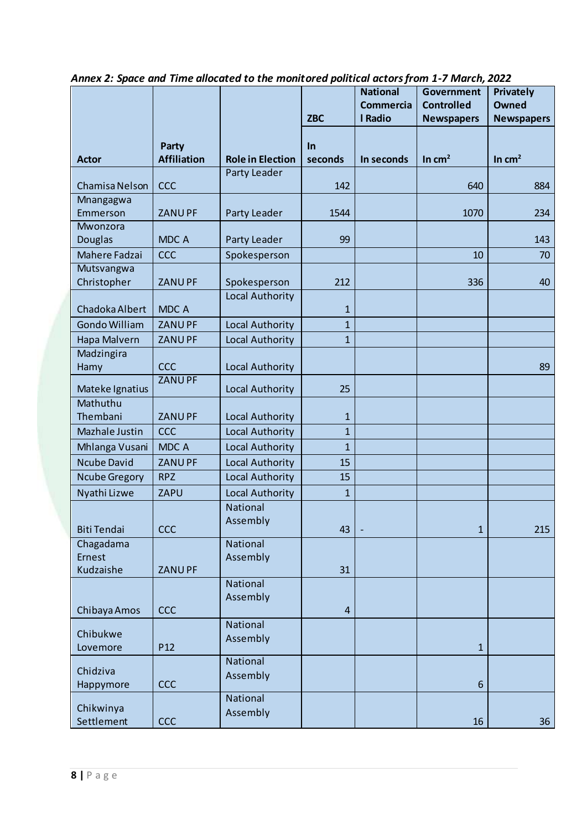|                                  |                             |                         |                         | <b>National</b><br><b>Commercia</b> | <b>Government</b><br><b>Controlled</b> | Privately<br><b>Owned</b> |
|----------------------------------|-----------------------------|-------------------------|-------------------------|-------------------------------------|----------------------------------------|---------------------------|
|                                  |                             |                         | <b>ZBC</b>              | I Radio                             | <b>Newspapers</b>                      | <b>Newspapers</b>         |
| <b>Actor</b>                     | Party<br><b>Affiliation</b> | <b>Role in Election</b> | In<br>seconds           | In seconds                          | In $cm2$                               | In $cm2$                  |
| Chamisa Nelson                   | CCC                         | Party Leader            | 142                     |                                     | 640                                    | 884                       |
| Mnangagwa<br>Emmerson            | <b>ZANUPF</b>               | Party Leader            | 1544                    |                                     | 1070                                   | 234                       |
| Mwonzora<br><b>Douglas</b>       | MDC A                       | Party Leader            | 99                      |                                     |                                        | 143                       |
| Mahere Fadzai                    | CCC                         | Spokesperson            |                         |                                     | 10                                     | 70                        |
| Mutsvangwa<br>Christopher        | <b>ZANUPF</b>               | Spokesperson            | 212                     |                                     | 336                                    | 40                        |
| Chadoka Albert                   | <b>MDCA</b>                 | Local Authority         | 1                       |                                     |                                        |                           |
| <b>Gondo William</b>             | <b>ZANUPF</b>               | Local Authority         | $\mathbf{1}$            |                                     |                                        |                           |
| Hapa Malvern                     | <b>ZANUPF</b>               | Local Authority         | $\mathbf{1}$            |                                     |                                        |                           |
| Madzingira<br>Hamy               | CCC                         | Local Authority         |                         |                                     |                                        | 89                        |
| Mateke Ignatius                  | <b>ZANUPF</b>               | Local Authority         | 25                      |                                     |                                        |                           |
| Mathuthu<br>Thembani             | <b>ZANUPF</b>               | Local Authority         | $\mathbf{1}$            |                                     |                                        |                           |
| Mazhale Justin                   | CCC                         | Local Authority         | $\mathbf{1}$            |                                     |                                        |                           |
| Mhlanga Vusani                   | MDC A                       | Local Authority         | $\mathbf{1}$            |                                     |                                        |                           |
| <b>Ncube David</b>               | <b>ZANUPF</b>               | Local Authority         | 15                      |                                     |                                        |                           |
| <b>Ncube Gregory</b>             | <b>RPZ</b>                  | Local Authority         | 15                      |                                     |                                        |                           |
| Nyathi Lizwe                     | ZAPU                        | Local Authority         | $\mathbf{1}$            |                                     |                                        |                           |
| <b>Biti Tendai</b>               | <b>CCC</b>                  | National<br>Assembly    | 43                      |                                     | $\mathbf{1}$                           | 215                       |
| Chagadama<br>Ernest<br>Kudzaishe | <b>ZANUPF</b>               | National<br>Assembly    | 31                      |                                     |                                        |                           |
| Chibaya Amos                     | <b>CCC</b>                  | National<br>Assembly    | $\overline{\mathbf{4}}$ |                                     |                                        |                           |
| Chibukwe<br>Lovemore             | P <sub>12</sub>             | National<br>Assembly    |                         |                                     | $\mathbf{1}$                           |                           |
| Chidziva<br>Happymore            | <b>CCC</b>                  | National<br>Assembly    |                         |                                     | $6\phantom{a}$                         |                           |
| Chikwinya<br>Settlement          | <b>CCC</b>                  | National<br>Assembly    |                         |                                     | 16                                     | 36                        |

*Annex 2: Space and Time allocated to the monitored political actors from 1-7 March, 2022*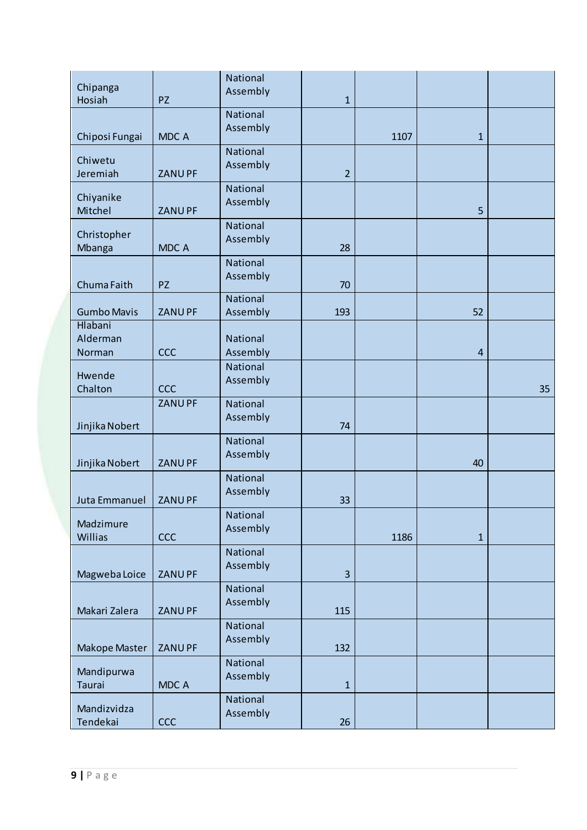| Chipanga<br>Hosiah                   | <b>PZ</b>     | National<br>Assembly | $\mathbf{1}$   |      |                |    |
|--------------------------------------|---------------|----------------------|----------------|------|----------------|----|
| Chiposi Fungai                       | MDC A         | National<br>Assembly |                | 1107 | $\mathbf{1}$   |    |
| Chiwetu<br>Jeremiah                  | <b>ZANUPF</b> | National<br>Assembly | $\overline{2}$ |      |                |    |
| Chiyanike<br>Mitchel                 | ZANU PF       | National<br>Assembly |                |      | 5              |    |
| Christopher<br>Mbanga                | <b>MDCA</b>   | National<br>Assembly | 28             |      |                |    |
| Chuma Faith                          | <b>PZ</b>     | National<br>Assembly | 70             |      |                |    |
| <b>Gumbo Mavis</b>                   | <b>ZANUPF</b> | National<br>Assembly | 193            |      | 52             |    |
| <b>Hlabani</b><br>Alderman<br>Norman | <b>CCC</b>    | National<br>Assembly |                |      | $\overline{4}$ |    |
| Hwende<br>Chalton                    | <b>CCC</b>    | National<br>Assembly |                |      |                | 35 |
| Jinjika Nobert                       | <b>ZANUPF</b> | National<br>Assembly | 74             |      |                |    |
| Jinjika Nobert                       | <b>ZANUPF</b> | National<br>Assembly |                |      | 40             |    |
| Juta Emmanuel                        | <b>ZANUPF</b> | National<br>Assembly | 33             |      |                |    |
| Madzimure<br><b>Willias</b>          | <b>CCC</b>    | National<br>Assembly |                | 1186 | $\mathbf{1}$   |    |
| Magweba Loice                        | <b>ZANUPF</b> | National<br>Assembly | 3              |      |                |    |
| Makari Zalera                        | <b>ZANUPF</b> | National<br>Assembly | 115            |      |                |    |
| Makope Master                        | <b>ZANUPF</b> | National<br>Assembly | 132            |      |                |    |
| Mandipurwa<br><b>Taurai</b>          | MDC A         | National<br>Assembly | $\mathbf{1}$   |      |                |    |
| Mandizvidza<br>Tendekai              | <b>CCC</b>    | National<br>Assembly | 26             |      |                |    |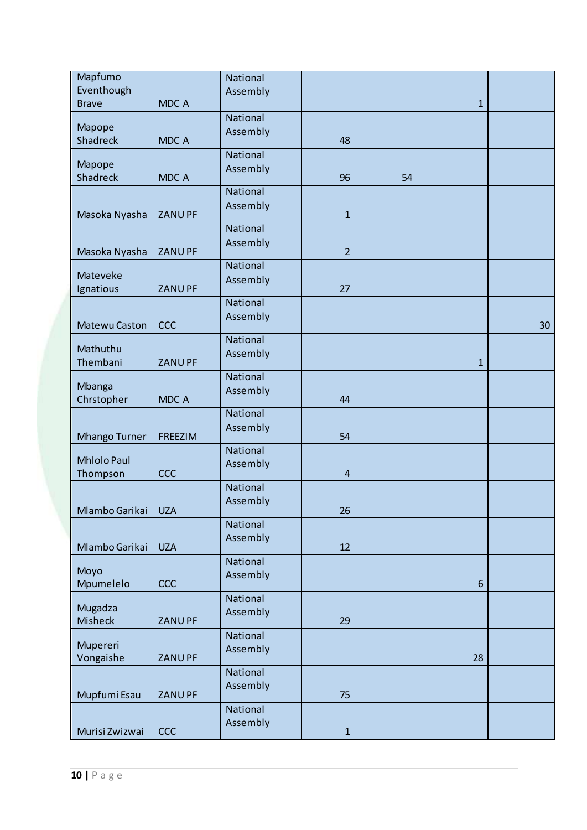| Mapfumo<br>Eventhough     |                | National<br>Assembly |                         |    |                |    |
|---------------------------|----------------|----------------------|-------------------------|----|----------------|----|
| <b>Brave</b>              | <b>MDCA</b>    |                      |                         |    | $\mathbf{1}$   |    |
| Mapope                    |                | National<br>Assembly |                         |    |                |    |
| <b>Shadreck</b>           | <b>MDCA</b>    |                      | 48                      |    |                |    |
| Mapope                    |                | National<br>Assembly |                         |    |                |    |
| <b>Shadreck</b>           | <b>MDCA</b>    | National             | 96                      | 54 |                |    |
|                           |                | Assembly             |                         |    |                |    |
| Masoka Nyasha             | <b>ZANUPF</b>  | National             | $\mathbf{1}$            |    |                |    |
| Masoka Nyasha             | <b>ZANUPF</b>  | Assembly             | $\overline{2}$          |    |                |    |
| Mateveke                  |                | National<br>Assembly |                         |    |                |    |
| Ignatious                 | <b>ZANUPF</b>  |                      | 27                      |    |                |    |
| Matewu Caston             | CCC            | National<br>Assembly |                         |    |                | 30 |
| Mathuthu                  |                | National             |                         |    |                |    |
| Thembani                  | <b>ZANUPF</b>  | Assembly             |                         |    | $\mathbf{1}$   |    |
| Mbanga                    |                | National<br>Assembly |                         |    |                |    |
| Chrstopher                | MDC A          |                      | 44                      |    |                |    |
| <b>Mhango Turner</b>      | <b>FREEZIM</b> | National<br>Assembly | 54                      |    |                |    |
| <b>Mhlolo Paul</b>        |                | National<br>Assembly |                         |    |                |    |
| Thompson                  | CCC            |                      | $\overline{\mathbf{4}}$ |    |                |    |
|                           |                | National<br>Assembly |                         |    |                |    |
| Mlambo Garikai   UZA      |                | National             | 26                      |    |                |    |
| Mlambo Garikai            | <b>UZA</b>     | Assembly             | 12                      |    |                |    |
| Moyo                      |                | National<br>Assembly |                         |    |                |    |
| Mpumelelo                 | <b>CCC</b>     | National             |                         |    | $6\phantom{1}$ |    |
| Mugadza<br><b>Misheck</b> | <b>ZANUPF</b>  | Assembly             | 29                      |    |                |    |
| Mupereri<br>Vongaishe     | <b>ZANUPF</b>  | National<br>Assembly |                         |    | 28             |    |
| Mupfumi Esau              | <b>ZANUPF</b>  | National<br>Assembly | 75                      |    |                |    |
| Murisi Zwizwai            | <b>CCC</b>     | National<br>Assembly | $\mathbf{1}$            |    |                |    |
|                           |                |                      |                         |    |                |    |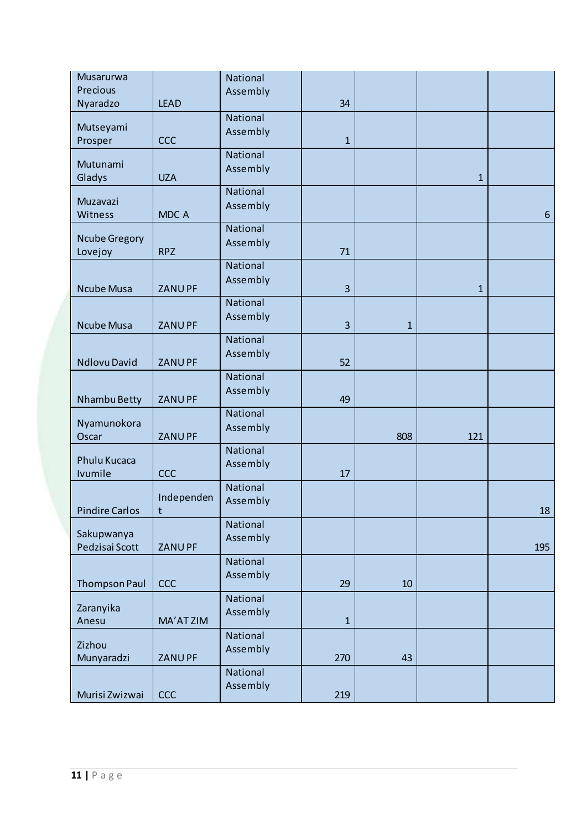| Musarurwa             |               | National             |              |              |              |       |
|-----------------------|---------------|----------------------|--------------|--------------|--------------|-------|
| Precious              |               | Assembly             |              |              |              |       |
| Nyaradzo              | <b>LEAD</b>   |                      | 34           |              |              |       |
| Mutseyami             |               | National             |              |              |              |       |
| Prosper               | <b>CCC</b>    | Assembly             | $\mathbf{1}$ |              |              |       |
|                       |               | National             |              |              |              |       |
| Mutunami              |               | Assembly             |              |              |              |       |
| Gladys                | <b>UZA</b>    |                      |              |              | $\mathbf{1}$ |       |
| Muzavazi              |               | National             |              |              |              |       |
| Witness               | MDC A         | Assembly             |              |              |              | $6\,$ |
|                       |               | National             |              |              |              |       |
| <b>Ncube Gregory</b>  |               | Assembly             |              |              |              |       |
| Lovejoy               | <b>RPZ</b>    | National             | 71           |              |              |       |
|                       |               | Assembly             |              |              |              |       |
| <b>Ncube Musa</b>     | <b>ZANUPF</b> |                      | 3            |              | $\mathbf{1}$ |       |
|                       |               | National             |              |              |              |       |
| <b>Ncube Musa</b>     | ZANU PF       | Assembly             | 3            | $\mathbf{1}$ |              |       |
|                       |               | National             |              |              |              |       |
|                       |               | Assembly             |              |              |              |       |
| <b>Ndlovu David</b>   | <b>ZANUPF</b> |                      | 52           |              |              |       |
|                       |               | National             |              |              |              |       |
| Nhambu Betty          | <b>ZANUPF</b> | Assembly             | 49           |              |              |       |
|                       |               | National             |              |              |              |       |
| Nyamunokora           |               | Assembly             |              |              |              |       |
| Oscar                 | <b>ZANUPF</b> |                      |              | 808          | 121          |       |
| Phulu Kucaca          |               | National             |              |              |              |       |
| Ivumile               | CCC           | Assembly             | 17           |              |              |       |
|                       |               | National             |              |              |              |       |
|                       | Independen    | Assembly             |              |              |              |       |
| <b>Pindire Carlos</b> | t             |                      |              |              |              | 18    |
| Sakupwanya            |               | National             |              |              |              |       |
| Pedzisai Scott        | ZANU PF       | Assembly             |              |              |              | 195   |
|                       |               | National             |              |              |              |       |
|                       |               | Assembly             |              |              |              |       |
| <b>Thompson Paul</b>  | <b>CCC</b>    |                      | 29           | 10           |              |       |
| Zaranyika             |               | National<br>Assembly |              |              |              |       |
| Anesu                 | MA'AT ZIM     |                      | $\mathbf{1}$ |              |              |       |
|                       |               | National             |              |              |              |       |
| Zizhou<br>Munyaradzi  | ZANU PF       | Assembly             | 270          | 43           |              |       |
|                       |               | National             |              |              |              |       |
|                       |               | Assembly             |              |              |              |       |
| Murisi Zwizwai        | <b>CCC</b>    |                      | 219          |              |              |       |